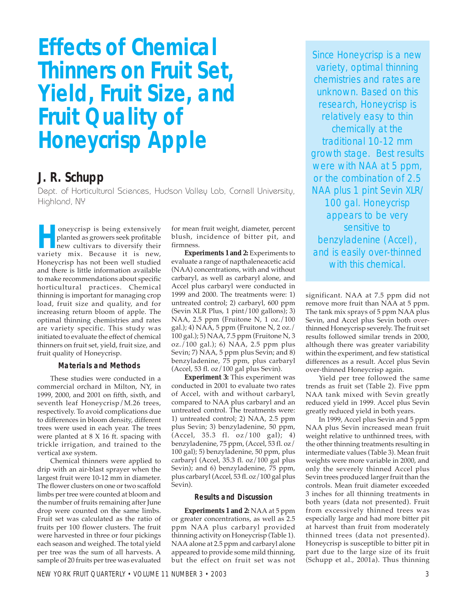# **Effects of Chemical Thinners on Fruit Set, Yield, Fruit Size, and Fruit Quality of Honeycrisp Apple**

# **J. R. Schupp**

Dept. of Horticultural Sciences, Hudson Valley Lab, Cornell University, Highland, NY

**Homey Configures** being extensively<br>planted as growers seek profitable<br>new cultivars to diversify their<br>variety mix Because it is new planted as growers seek profitable new cultivars to diversify their variety mix. Because it is new, Honeycrisp has not been well studied and there is little information available to make recommendations about specific horticultural practices. Chemical thinning is important for managing crop load, fruit size and quality, and for increasing return bloom of apple. The optimal thinning chemistries and rates are variety specific. This study was initiated to evaluate the effect of chemical thinners on fruit set, yield, fruit size, and fruit quality of Honeycrisp.

#### **Materials and Methods**

These studies were conducted in a commercial orchard in Milton, NY, in 1999, 2000, and 2001 on fifth, sixth, and seventh leaf Honeycrisp/M.26 trees, respectively. To avoid complications due to differences in bloom density, different trees were used in each year. The trees were planted at 8 X 16 ft. spacing with trickle irrigation, and trained to the vertical axe system.

Chemical thinners were applied to drip with an air-blast sprayer when the largest fruit were 10-12 mm in diameter. The flower clusters on one or two scaffold limbs per tree were counted at bloom and the number of fruits remaining after June drop were counted on the same limbs. Fruit set was calculated as the ratio of fruits per 100 flower clusters. The fruit were harvested in three or four pickings each season and weighed. The total yield per tree was the sum of all harvests. A sample of 20 fruits per tree was evaluated

for mean fruit weight, diameter, percent blush, incidence of bitter pit, and firmness.

**Experiments 1 and 2:** Experiments to evaluate a range of napthaleneacetic acid (NAA) concentrations, with and without carbaryl, as well as carbaryl alone, and Accel plus carbaryl were conducted in 1999 and 2000. The treatments were: 1) untreated control; 2) carbaryl, 600 ppm (Sevin XLR Plus, 1 pint/100 gallons); 3) NAA, 2.5 ppm (Fruitone N, 1 oz./100 gal.); 4) NAA, 5 ppm (Fruitone N, 2 oz./ 100 gal.); 5) NAA, 7.5 ppm (Fruitone N, 3 oz./100 gal.); 6) NAA, 2.5 ppm plus Sevin; 7) NAA, 5 ppm plus Sevin; and 8) benzyladenine, 75 ppm, plus carbaryl (Accel, 53 fl. oz/100 gal plus Sevin).

**Experiment 3:** This experiment was conducted in 2001 to evaluate two rates of Accel, with and without carbaryl, compared to NAA plus carbaryl and an untreated control. The treatments were: 1) untreated control; 2) NAA, 2.5 ppm plus Sevin; 3) benzyladenine, 50 ppm, (Accel, 35.3 fl. oz/100 gal); 4) benzyladenine, 75 ppm, (Accel, 53 fl. oz/ 100 gal); 5) benzyladenine, 50 ppm, plus carbaryl (Accel, 35.3 fl. oz/100 gal plus Sevin); and 6) benzyladenine, 75 ppm, plus carbaryl (Accel, 53 fl. oz/100 gal plus Sevin).

#### **Results and Discussion**

**Experiments 1 and 2:** NAA at 5 ppm or greater concentrations, as well as 2.5 ppm NAA plus carbaryl provided thinning activity on Honeycrisp (Table 1). NAA alone at 2.5 ppm and carbaryl alone appeared to provide some mild thinning, but the effect on fruit set was not

Since Honeycrisp is a new variety, optimal thinning chemistries and rates are unknown. Based on this research, Honeycrisp is relatively easy to thin chemically at the traditional 10-12 mm growth stage. Best results were with NAA at 5 ppm, or the combination of 2.5 NAA plus 1 pint Sevin XLR/ 100 gal. Honeycrisp appears to be very sensitive to benzyladenine (Accel), and is easily over-thinned with this chemical.

significant. NAA at 7.5 ppm did not remove more fruit than NAA at 5 ppm. The tank mix sprays of 5 ppm NAA plus Sevin, and Accel plus Sevin both overthinned Honeycrisp severely. The fruit set results followed similar trends in 2000, although there was greater variability within the experiment, and few statistical differences as a result. Accel plus Sevin over-thinned Honeycrisp again.

Yield per tree followed the same trends as fruit set (Table 2). Five ppm NAA tank mixed with Sevin greatly reduced yield in 1999. Accel plus Sevin greatly reduced yield in both years.

In 1999, Accel plus Sevin and 5 ppm NAA plus Sevin increased mean fruit weight relative to unthinned trees, with the other thinning treatments resulting in intermediate values (Table 3). Mean fruit weights were more variable in 2000, and only the severely thinned Accel plus Sevin trees produced larger fruit than the controls. Mean fruit diameter exceeded 3 inches for all thinning treatments in both years (data not presented). Fruit from excessively thinned trees was especially large and had more bitter pit at harvest than fruit from moderately thinned trees (data not presented). Honeycrisp is susceptible to bitter pit in part due to the large size of its fruit (Schupp et al., 2001a). Thus thinning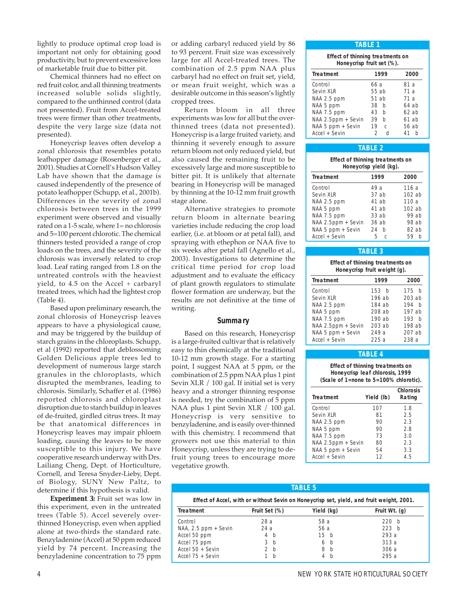lightly to produce optimal crop load is important not only for obtaining good productivity, but to prevent excessive loss of marketable fruit due to bitter pit.

Chemical thinners had no effect on red fruit color, and all thinning treatments increased soluble solids slightly, compared to the unthinned control (data not presented). Fruit from Accel-treated trees were firmer than other treatments, despite the very large size (data not presented).

Honeycrisp leaves often develop a zonal chlorosis that resembles potato leafhopper damage (Rosenberger et al., 2001). Studies at Cornell's Hudson Valley Lab have shown that the damage is caused independently of the presence of potato leafhopper (Schupp, et al., 2001b). Differences in the severity of zonal chlorosis between trees in the 1999 experiment were observed and visually rated on a 1-5 scale, where 1= no chlorosis and 5=100 percent chlorotic. The chemical thinners tested provided a range of crop loads on the trees, and the severity of the chlorosis was inversely related to crop load. Leaf rating ranged from 1.8 on the untreated controls with the heaviest yield, to 4.5 on the Accel + carbaryl treated trees, which had the lightest crop (Table 4).

Based upon preliminary research, the zonal chlorosis of Honeycrisp leaves appears to have a physiological cause, and may be triggered by the buildup of starch grains in the chloroplasts. Schupp, et al (1992) reported that deblossoming Golden Delicious apple trees led to development of numerous large starch granules in the chloroplasts, which disrupted the membranes, leading to chlorosis. Similarly, Schaffer et al. (1986) reported chlorosis and chloroplast disruption due to starch buildup in leaves of de-fruited, girdled citrus trees. It may be that anatomical differences in Honeycrisp leaves may impair phloem loading, causing the leaves to be more susceptible to this injury. We have cooperative research underway with Drs. Lailiang Cheng, Dept. of Horticulture, Cornell, and Teresa Snyder-Lieby, Dept. of Biology, SUNY New Paltz, to determine if this hypothesis is valid.

**Experiment 3:** Fruit set was low in this experiment, even in the untreated trees (Table 5). Accel severely overthinned Honeycrisp, even when applied alone at two-thirds the standard rate. Benzyladenine (Accel) at 50 ppm reduced yield by 74 percent. Increasing the benzyladenine concentration to 75 ppm

or adding carbaryl reduced yield by 86 to 93 percent. Fruit size was excessively large for all Accel-treated trees. The combination of 2.5 ppm NAA plus carbaryl had no effect on fruit set, yield, or mean fruit weight, which was a desirable outcome in this season's lightly cropped trees.

Return bloom in all three experiments was low for all but the overthinned trees (data not presented). Honeycrisp is a large fruited variety, and thinning it severely enough to assure return bloom not only reduced yield, but also caused the remaining fruit to be excessively large and more susceptible to bitter pit. It is unlikely that alternate bearing in Honeycrisp will be managed by thinning at the 10-12 mm fruit growth stage alone.

Alternative strategies to promote return bloom in alternate bearing varieties include reducing the crop load earlier, (i.e. at bloom or at petal fall), and spraying with ethephon or NAA five to six weeks after petal fall (Agnello et al., 2003). Investigations to determine the critical time period for crop load adjustment and to evaluate the efficacy of plant growth regulators to stimulate flower formation are underway, but the results are not definitive at the time of writing.

#### **Summary**

Based on this research, Honeycrisp is a large-fruited cultivar that is relatively easy to thin chemically at the traditional 10-12 mm growth stage. For a starting point, I suggest NAA at 5 ppm, or the combination of 2.5 ppm NAA plus 1 pint Sevin XLR / 100 gal. If initial set is very heavy and a stronger thinning response is needed, try the combination of 5 ppm NAA plus 1 pint Sevin XLR / 100 gal. Honeycrisp is very sensitive to benzyladenine, and is easily over-thinned with this chemistry. I recommend that growers not use this material to thin Honeycrisp, unless they are trying to defruit young trees to encourage more vegetative growth.

#### **TABLE 1**

| <b>Effect of thinning treatments on</b><br>Honeycrisp fruit set (%). |                     |         |
|----------------------------------------------------------------------|---------------------|---------|
| <b>Treatment</b>                                                     | 1999                | 2000    |
| Control                                                              | 66 a                | 81 a    |
| Sevin XLR                                                            | 55 ab               | 71a     |
| NAA 2.5 ppm                                                          | $51$ ab             | 71 a    |
| NAA 5 ppm                                                            | 38<br>b             | 64ab    |
| NAA 7.5 ppm                                                          | 43<br>h             | 62ab    |
| NAA 2.5ppm + Sevin                                                   | 39<br>b             | 61ab    |
| NAA 5 ppm + Sevin                                                    | 19<br>C             | 56 ab   |
| Accel + Sevin                                                        | $\mathfrak{D}$<br>H | 41<br>h |

#### **TABLE 2**

| Effect of thinning treatments on<br>Honeycrisp yield (kg). |         |          |  |
|------------------------------------------------------------|---------|----------|--|
| <b>Treatment</b>                                           | 1999    | 2000     |  |
| Control                                                    | 49a     | 116a     |  |
| Sevin XLR                                                  | 37 ab   | $102$ ab |  |
| NAA 2.5 ppm                                                | 41 ab   | 110a     |  |
| NAA 5 ppm                                                  | 41 ab   | $102$ ab |  |
| NAA 7.5 ppm                                                | $33$ ab | 99 ab    |  |
| NAA 2.5ppm + Sevin                                         | 36ab    | 98 ab    |  |
| NAA 5 ppm + Sevin                                          | 24<br>h | $82$ ab  |  |
| Accel + Sevin                                              | 5<br>C  | 59<br>h  |  |

## **TABLE 3**

| Effect of thinning treatments on |  |
|----------------------------------|--|
| Honeycrisp fruit weight (g).     |  |

| <b>Treatment</b>   | 1999     | 2000     |
|--------------------|----------|----------|
| Control            | 153 b    | 175 b    |
| Sevin XLR          | 196 ab   | $203$ ab |
| NAA 2.5 ppm        | 184 ab   | 194<br>h |
| NAA 5 ppm          | 208ab    | 197 ab   |
| NAA 7.5 ppm        | $190$ ab | 193 h    |
| NAA 2.5ppm + Sevin | $203$ ab | 198 ab   |
| NAA 5 ppm + Sevin  | 249 a    | $207$ ab |
| Accel + Sevin      | 225a     | 238a     |

### **TABLE 4**

**Effect of thinning treatments on Honeycrisp leaf chlorosis, 1999 (Scale of 1=none to 5=100% chlorotic).**

| <b>Treatment</b>   | Yield (lb) | <b>Chlorosis</b><br>Rating |
|--------------------|------------|----------------------------|
| Control            | 107        | 1.8                        |
| Sevin XLR          | 81         | 2.5                        |
| NAA 2.5 ppm        | 90         | 2.3                        |
| NAA 5 ppm          | 90         | 2.8                        |
| NAA 7.5 ppm        | 73         | 3.0                        |
| NAA 2.5ppm + Sevin | 80         | 2.3                        |
| NAA 5 ppm + Sevin  | 54         | 3.3                        |
| Accel + Sevin      | 12         | 4.5                        |

#### **TABLE 5**

| Effect of Accel, with or without Sevin on Honeycrisp set, yield, and fruit weight, 2001. |                |                 |               |
|------------------------------------------------------------------------------------------|----------------|-----------------|---------------|
| <b>Treatment</b>                                                                         | Fruit Set (%)  | Yield (kg)      | Fruit Wt. (g) |
| Control                                                                                  | 28 a           | 58 a            | 220 h         |
| $NAA$ , 2.5 ppm + Sevin                                                                  | 24a            | 56 a            | 223 b         |
| Accel 50 ppm                                                                             | 4 b            | 15 <sub>b</sub> | 293 a         |
| Accel 75 ppm                                                                             | 3 <sub>b</sub> | 6 b             | 313a          |
| Accel $50 +$ Sevin                                                                       | 2 <sub>b</sub> | 8 b             | 306 a         |
| Accel $75 +$ Sevin                                                                       | b              | 4 b             | 295a          |